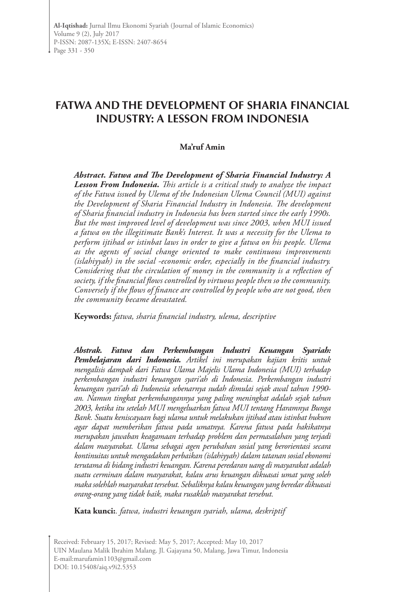# **FATWA AND THE DEVELOPMENT OF SHARIA FINANCIAL INDUSTRY: A LESSON FROM INDONESIA**

#### **Ma'ruf Amin**

*Abstract. Fatwa and The Development of Sharia Financial Industry: A Lesson From Indonesia. This article is a critical study to analyze the impact of the Fatwa issued by Ulema of the Indonesian Ulema Council (MUI) against the Development of Sharia Financial Industry in Indonesia. The development of Sharia financial industry in Indonesia has been started since the early 1990s. But the most improved level of development was since 2003, when MUI issued a fatwa on the illegitimate Bank's Interest. It was a necessity for the Ulema to perform ijtihad or istinbat laws in order to give a fatwa on his people. Ulema as the agents of social change oriented to make continuous improvements (islahiyyah) in the social -economic order, especially in the financial industry. Considering that the circulation of money in the community is a reflection of society, if the financial flows controlled by virtuous people then so the community. Conversely if the flows of finance are controlled by people who are not good, then the community became devastated.* 

**Keywords:** *fatwa, sharia financial industry, ulema, descriptive*

*Abstrak. Fatwa dan Perkembangan Industri Keuangan Syariah: Pembelajaran dari Indonesia. Artikel ini merupakan kajian kritis untuk mengalisis dampak dari Fatwa Ulama Majelis Ulama Indonesia (MUI) terhadap perkembangan industri keuangan syari'ah di Indonesia. Perkembangan industri keuangan syari'ah di Indonesia sebenarnya sudah dimulai sejak awal tahun 1990 an. Namun tingkat perkembangannya yang paling meningkat adalah sejak tahun 2003, ketika itu setelah MUI mengeluarkan fatwa MUI tentang Haramnya Bunga Bank. Suatu keniscayaan bagi ulama untuk melakukan ijtihad atau istinbat hukum agar dapat memberikan fatwa pada umatnya. Karena fatwa pada hakikatnya merupakan jawaban keagamaan terhadap problem dan permasalahan yang terjadi dalam masyarakat. Ulama sebagai agen perubahan sosial yang berorientasi secara kontinuitas untuk mengadakan perbaikan (islahiyyah) dalam tatanan sosial ekonomi terutama di bidang industri keuangan. Karena peredaran uang di masyarakat adalah suatu cerminan dalam masyarakat, kalau arus keuangan dikuasai umat yang soleh maka solehlah masyarakat tersebut. Sebaliknya kalau keuangan yang beredar dikuasai orang-orang yang tidak baik, maka rusaklah masyarakat tersebut.* 

**Kata kunci:***. fatwa, industri keuangan syariah, ulama, deskriptif*

Received: February 15, 2017; Revised: May 5, 2017; Accepted: May 10, 2017 UIN Maulana Malik Ibrahim Malang. Jl. Gajayana 50, Malang, Jawa Timur, Indonesia E-mail:marufamin1103@gmail.com DOI: 10.15408/aiq.v9i2.5353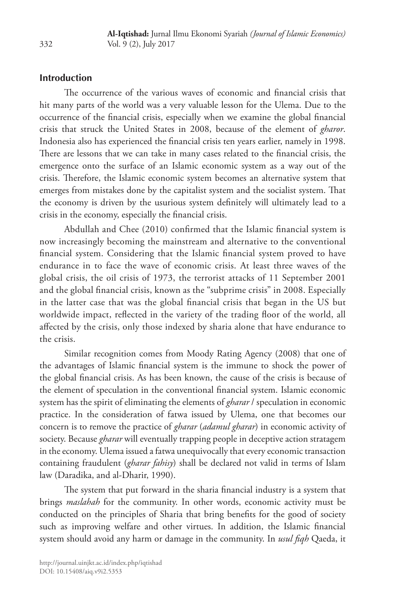## **Introduction**

The occurrence of the various waves of economic and financial crisis that hit many parts of the world was a very valuable lesson for the Ulema. Due to the occurrence of the financial crisis, especially when we examine the global financial crisis that struck the United States in 2008, because of the element of *gharor*. Indonesia also has experienced the financial crisis ten years earlier, namely in 1998. There are lessons that we can take in many cases related to the financial crisis, the emergence onto the surface of an Islamic economic system as a way out of the crisis. Therefore, the Islamic economic system becomes an alternative system that emerges from mistakes done by the capitalist system and the socialist system. That the economy is driven by the usurious system definitely will ultimately lead to a crisis in the economy, especially the financial crisis.

Abdullah and Chee (2010) confirmed that the Islamic financial system is now increasingly becoming the mainstream and alternative to the conventional financial system. Considering that the Islamic financial system proved to have endurance in to face the wave of economic crisis. At least three waves of the global crisis, the oil crisis of 1973, the terrorist attacks of 11 September 2001 and the global financial crisis, known as the "subprime crisis" in 2008. Especially in the latter case that was the global financial crisis that began in the US but worldwide impact, reflected in the variety of the trading floor of the world, all affected by the crisis, only those indexed by sharia alone that have endurance to the crisis.

Similar recognition comes from Moody Rating Agency (2008) that one of the advantages of Islamic financial system is the immune to shock the power of the global financial crisis. As has been known, the cause of the crisis is because of the element of speculation in the conventional financial system. Islamic economic system has the spirit of eliminating the elements of *gharar* / speculation in economic practice. In the consideration of fatwa issued by Ulema, one that becomes our concern is to remove the practice of *gharar* (*adamul gharar*) in economic activity of society. Because *gharar* will eventually trapping people in deceptive action stratagem in the economy. Ulema issued a fatwa unequivocally that every economic transaction containing fraudulent (*gharar fahisy*) shall be declared not valid in terms of Islam law (Daradika, and al-Dharir, 1990).

The system that put forward in the sharia financial industry is a system that brings *maslahah* for the community. In other words, economic activity must be conducted on the principles of Sharia that bring benefits for the good of society such as improving welfare and other virtues. In addition, the Islamic financial system should avoid any harm or damage in the community. In *usul fiqh* Qaeda, it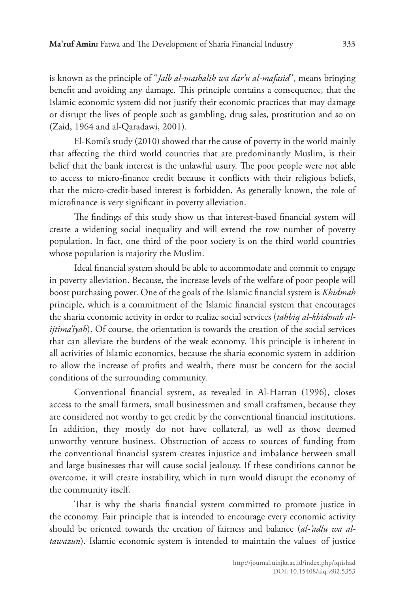is known as the principle of "*Jalb al-mashalih wa dar'u al-mafasid*", means bringing benefit and avoiding any damage. This principle contains a consequence, that the Islamic economic system did not justify their economic practices that may damage or disrupt the lives of people such as gambling, drug sales, prostitution and so on (Zaid, 1964 and al-Qaradawi, 2001).

El-Komi's study (2010) showed that the cause of poverty in the world mainly that affecting the third world countries that are predominantly Muslim, is their belief that the bank interest is the unlawful usury. The poor people were not able to access to micro-finance credit because it conflicts with their religious beliefs, that the micro-credit-based interest is forbidden. As generally known, the role of microfinance is very significant in poverty alleviation.

The findings of this study show us that interest-based financial system will create a widening social inequality and will extend the row number of poverty population. In fact, one third of the poor society is on the third world countries whose population is majority the Muslim.

Ideal financial system should be able to accommodate and commit to engage in poverty alleviation. Because, the increase levels of the welfare of poor people will boost purchasing power. One of the goals of the Islamic financial system is *Khidmah* principle, which is a commitment of the Islamic financial system that encourages the sharia economic activity in order to realize social services (*tahbiq al-khidmah alijtima'iyah*). Of course, the orientation is towards the creation of the social services that can alleviate the burdens of the weak economy. This principle is inherent in all activities of Islamic economics, because the sharia economic system in addition to allow the increase of profits and wealth, there must be concern for the social conditions of the surrounding community.

Conventional financial system, as revealed in Al-Harran (1996), closes access to the small farmers, small businessmen and small craftsmen, because they are considered not worthy to get credit by the conventional financial institutions. In addition, they mostly do not have collateral, as well as those deemed unworthy venture business. Obstruction of access to sources of funding from the conventional financial system creates injustice and imbalance between small and large businesses that will cause social jealousy. If these conditions cannot be overcome, it will create instability, which in turn would disrupt the economy of the community itself.

That is why the sharia financial system committed to promote justice in the economy. Fair principle that is intended to encourage every economic activity should be oriented towards the creation of fairness and balance (*al-'adlu wa altawazun*). Islamic economic system is intended to maintain the values of justice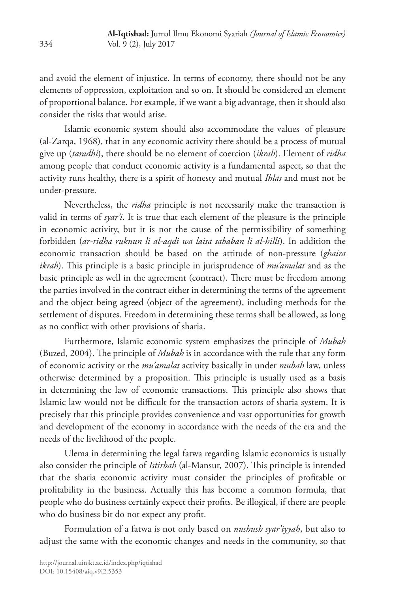and avoid the element of injustice. In terms of economy, there should not be any elements of oppression, exploitation and so on. It should be considered an element of proportional balance. For example, if we want a big advantage, then it should also consider the risks that would arise.

Islamic economic system should also accommodate the values of pleasure (al-Zarqa, 1968), that in any economic activity there should be a process of mutual give up (*taradhi*), there should be no element of coercion (*ikrah*). Element of *ridha* among people that conduct economic activity is a fundamental aspect, so that the activity runs healthy, there is a spirit of honesty and mutual *Ihlas* and must not be under-pressure.

Nevertheless, the *ridha* principle is not necessarily make the transaction is valid in terms of *syar'i*. It is true that each element of the pleasure is the principle in economic activity, but it is not the cause of the permissibility of something forbidden (*ar-ridha ruknun li al-aqdi wa laisa sababan li al-hilli*). In addition the economic transaction should be based on the attitude of non-pressure (*ghaira ikrah*). This principle is a basic principle in jurisprudence of *mu'amalat* and as the basic principle as well in the agreement (contract). There must be freedom among the parties involved in the contract either in determining the terms of the agreement and the object being agreed (object of the agreement), including methods for the settlement of disputes. Freedom in determining these terms shall be allowed, as long as no conflict with other provisions of sharia.

Furthermore, Islamic economic system emphasizes the principle of *Mubah* (Buzed, 2004). The principle of *Mubah* is in accordance with the rule that any form of economic activity or the *mu'amalat* activity basically in under *mubah* law, unless otherwise determined by a proposition. This principle is usually used as a basis in determining the law of economic transactions. This principle also shows that Islamic law would not be difficult for the transaction actors of sharia system. It is precisely that this principle provides convenience and vast opportunities for growth and development of the economy in accordance with the needs of the era and the needs of the livelihood of the people.

Ulema in determining the legal fatwa regarding Islamic economics is usually also consider the principle of *Istirbah* (al-Mansur, 2007). This principle is intended that the sharia economic activity must consider the principles of profitable or profitability in the business. Actually this has become a common formula, that people who do business certainly expect their profits. Be illogical, if there are people who do business bit do not expect any profit.

Formulation of a fatwa is not only based on *nushush syar'iyyah*, but also to adjust the same with the economic changes and needs in the community, so that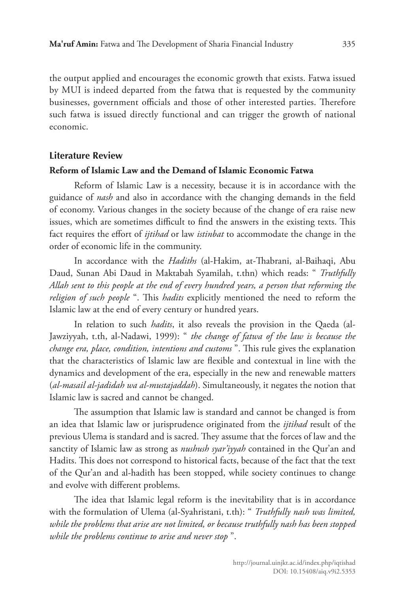the output applied and encourages the economic growth that exists. Fatwa issued by MUI is indeed departed from the fatwa that is requested by the community businesses, government officials and those of other interested parties. Therefore such fatwa is issued directly functional and can trigger the growth of national economic.

#### **Literature Review**

#### **Reform of Islamic Law and the Demand of Islamic Economic Fatwa**

Reform of Islamic Law is a necessity, because it is in accordance with the guidance of *nash* and also in accordance with the changing demands in the field of economy. Various changes in the society because of the change of era raise new issues, which are sometimes difficult to find the answers in the existing texts. This fact requires the effort of *ijtihad* or law *istinbat* to accommodate the change in the order of economic life in the community.

In accordance with the *Hadiths* (al-Hakim, at-Thabrani, al-Baihaqi, Abu Daud, Sunan Abi Daud in Maktabah Syamilah, t.thn) which reads: " *Truthfully Allah sent to this people at the end of every hundred years, a person that reforming the religion of such people* ". This *hadits* explicitly mentioned the need to reform the Islamic law at the end of every century or hundred years.

In relation to such *hadits*, it also reveals the provision in the Qaeda (al-Jawziyyah, t.th, al-Nadawi, 1999): " *the change of fatwa of the law is because the change era, place, condition, intentions and customs* ". This rule gives the explanation that the characteristics of Islamic law are flexible and contextual in line with the dynamics and development of the era, especially in the new and renewable matters (*al-masail al-jadidah wa al-mustajaddah*). Simultaneously, it negates the notion that Islamic law is sacred and cannot be changed.

The assumption that Islamic law is standard and cannot be changed is from an idea that Islamic law or jurisprudence originated from the *ijtihad* result of the previous Ulema is standard and is sacred. They assume that the forces of law and the sanctity of Islamic law as strong as *nushush syar'iyyah* contained in the Qur'an and Hadits. This does not correspond to historical facts, because of the fact that the text of the Qur'an and al-hadith has been stopped, while society continues to change and evolve with different problems.

The idea that Islamic legal reform is the inevitability that is in accordance with the formulation of Ulema (al-Syahristani, t.th): " *Truthfully nash was limited, while the problems that arise are not limited, or because truthfully nash has been stopped while the problems continue to arise and never stop* ".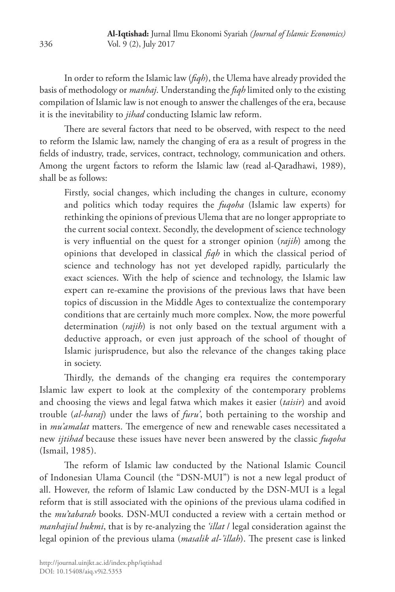In order to reform the Islamic law (*fiqh*), the Ulema have already provided the basis of methodology or *manhaj*. Understanding the *fiqh* limited only to the existing compilation of Islamic law is not enough to answer the challenges of the era, because it is the inevitability to *jihad* conducting Islamic law reform.

There are several factors that need to be observed, with respect to the need to reform the Islamic law, namely the changing of era as a result of progress in the fields of industry, trade, services, contract, technology, communication and others. Among the urgent factors to reform the Islamic law (read al-Qaradhawi, 1989), shall be as follows:

Firstly, social changes, which including the changes in culture, economy and politics which today requires the *fuqoha* (Islamic law experts) for rethinking the opinions of previous Ulema that are no longer appropriate to the current social context. Secondly, the development of science technology is very influential on the quest for a stronger opinion (*rajih*) among the opinions that developed in classical *fiqh* in which the classical period of science and technology has not yet developed rapidly, particularly the exact sciences. With the help of science and technology, the Islamic law expert can re-examine the provisions of the previous laws that have been topics of discussion in the Middle Ages to contextualize the contemporary conditions that are certainly much more complex. Now, the more powerful determination (*rajih*) is not only based on the textual argument with a deductive approach, or even just approach of the school of thought of Islamic jurisprudence, but also the relevance of the changes taking place in society.

Thirdly, the demands of the changing era requires the contemporary Islamic law expert to look at the complexity of the contemporary problems and choosing the views and legal fatwa which makes it easier (*taisir*) and avoid trouble (*al-haraj*) under the laws of *furu'*, both pertaining to the worship and in *mu'amalat* matters. The emergence of new and renewable cases necessitated a new *ijtihad* because these issues have never been answered by the classic *fuqoha* (Ismail, 1985).

The reform of Islamic law conducted by the National Islamic Council of Indonesian Ulama Council (the "DSN-MUI") is not a new legal product of all. However, the reform of Islamic Law conducted by the DSN-MUI is a legal reform that is still associated with the opinions of the previous ulama codified in the *mu'tabarah* books. DSN-MUI conducted a review with a certain method or *manhajiul hukmi*, that is by re-analyzing the *'illat* / legal consideration against the legal opinion of the previous ulama (*masalik al-'illah*). The present case is linked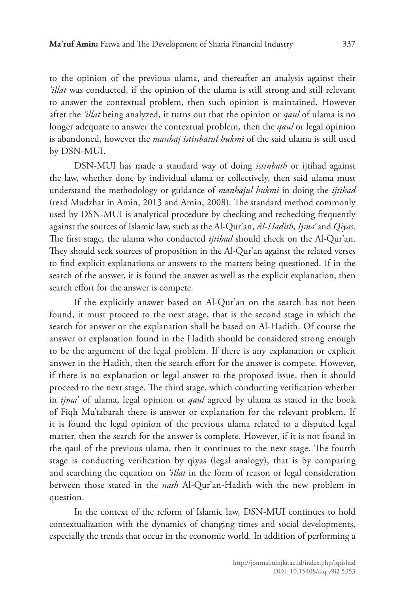to the opinion of the previous ulama, and thereafter an analysis against their *'illat* was conducted, if the opinion of the ulama is still strong and still relevant to answer the contextual problem, then such opinion is maintained. However after the *'illat* being analyzed, it turns out that the opinion or *qaul* of ulama is no longer adequate to answer the contextual problem, then the *qaul* or legal opinion is abandoned, however the *manhaj istinbatul hukmi* of the said ulama is still used by DSN-MUI.

DSN-MUI has made a standard way of doing *istinbath* or ijtihad against the law, whether done by individual ulama or collectively, then said ulama must understand the methodology or guidance of *manhajul hukmi* in doing the *ijtihad* (read Mudzhar in Amin, 2013 and Amin, 2008). The standard method commonly used by DSN-MUI is analytical procedure by checking and rechecking frequently against the sources of Islamic law, such as the Al-Qur'an, *Al*-*Hadith*, *Ijma'* and *Qiyas*. The first stage, the ulama who conducted *ijtihad* should check on the Al-Qur'an. They should seek sources of proposition in the Al-Qur'an against the related verses to find explicit explanations or answers to the matters being questioned. If in the search of the answer, it is found the answer as well as the explicit explanation, then search effort for the answer is compete.

If the explicitly answer based on Al-Qur'an on the search has not been found, it must proceed to the next stage, that is the second stage in which the search for answer or the explanation shall be based on Al-Hadith. Of course the answer or explanation found in the Hadith should be considered strong enough to be the argument of the legal problem. If there is any explanation or explicit answer in the Hadith, then the search effort for the answer is compete. However, if there is no explanation or legal answer to the proposed issue, then it should proceed to the next stage. The third stage, which conducting verification whether in *ijma*' of ulama, legal opinion or *qaul* agreed by ulama as stated in the book of Fiqh Mu'tabarah there is answer or explanation for the relevant problem. If it is found the legal opinion of the previous ulama related to a disputed legal matter, then the search for the answer is complete. However, if it is not found in the qaul of the previous ulama, then it continues to the next stage. The fourth stage is conducting verification by qiyas (legal analogy), that is by comparing and searching the equation on *'illat* in the form of reason or legal consideration between those stated in the *nash* Al-Qur'an-Hadith with the new problem in question.

In the context of the reform of Islamic law, DSN-MUI continues to hold contextualization with the dynamics of changing times and social developments, especially the trends that occur in the economic world. In addition of performing a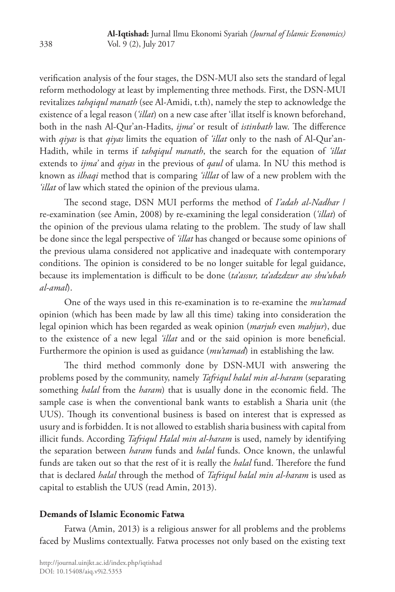verification analysis of the four stages, the DSN-MUI also sets the standard of legal reform methodology at least by implementing three methods. First, the DSN-MUI revitalizes *tahqiqul manath* (see Al-Amidi, t.th), namely the step to acknowledge the existence of a legal reason (*'illat*) on a new case after 'illat itself is known beforehand, both in the nash Al-Qur'an-Hadits, *ijma'* or result of *istinbath* law. The difference with *qiyas* is that *qiyas* limits the equation of *'illat* only to the nash of Al-Qur'an-Hadith, while in terms if *tahqiqul manath*, the search for the equation of *'illat* extends to *ijma'* and *qiyas* in the previous of *qaul* of ulama. In NU this method is known as *ilhaqi* method that is comparing *'illlat* of law of a new problem with the *'illat* of law which stated the opinion of the previous ulama.

The second stage, DSN MUI performs the method of *I'adah al-Nadhar* / re-examination (see Amin, 2008) by re-examining the legal consideration (*'illat*) of the opinion of the previous ulama relating to the problem. The study of law shall be done since the legal perspective of *'illat* has changed or because some opinions of the previous ulama considered not applicative and inadequate with contemporary conditions. The opinion is considered to be no longer suitable for legal guidance, because its implementation is difficult to be done (*ta'assur, ta'adzdzur aw shu'ubah al-amal*).

One of the ways used in this re-examination is to re-examine the *mu'tamad* opinion (which has been made by law all this time) taking into consideration the legal opinion which has been regarded as weak opinion (*marjuh* even *mahjur*), due to the existence of a new legal *'illat* and or the said opinion is more beneficial. Furthermore the opinion is used as guidance (*mu'tamad*) in establishing the law.

The third method commonly done by DSN-MUI with answering the problems posed by the community, namely *Tafriqul halal min al-haram* (separating something *halal* from the *haram*) that is usually done in the economic field. The sample case is when the conventional bank wants to establish a Sharia unit (the UUS). Though its conventional business is based on interest that is expressed as usury and is forbidden. It is not allowed to establish sharia business with capital from illicit funds. According *Tafriqul Halal min al-haram* is used, namely by identifying the separation between *haram* funds and *halal* funds. Once known, the unlawful funds are taken out so that the rest of it is really the *halal* fund. Therefore the fund that is declared *halal* through the method of *Tafriqul halal min al-haram* is used as capital to establish the UUS (read Amin, 2013).

#### **Demands of Islamic Economic Fatwa**

Fatwa (Amin, 2013) is a religious answer for all problems and the problems faced by Muslims contextually. Fatwa processes not only based on the existing text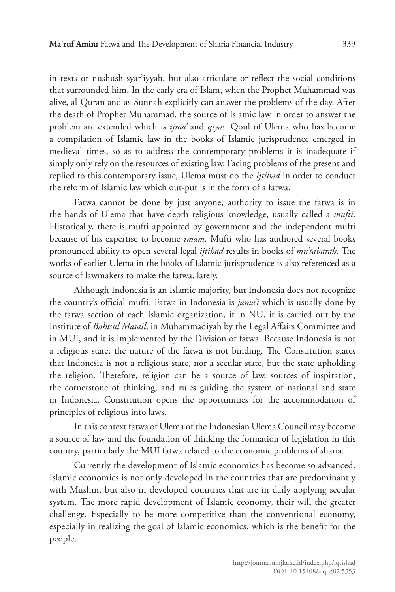in texts or nushush syar'iyyah, but also articulate or reflect the social conditions that surrounded him. In the early era of Islam, when the Prophet Muhammad was alive, al-Quran and as-Sunnah explicitly can answer the problems of the day. After the death of Prophet Muhammad, the source of Islamic law in order to answer the problem are extended which is *ijma'* and *qiyas*. Qoul of Ulema who has become a compilation of Islamic law in the books of Islamic jurisprudence emerged in medieval times, so as to address the contemporary problems it is inadequate if simply only rely on the resources of existing law. Facing problems of the present and replied to this contemporary issue, Ulema must do the *ijtihad* in order to conduct the reform of Islamic law which out-put is in the form of a fatwa.

Fatwa cannot be done by just anyone; authority to issue the fatwa is in the hands of Ulema that have depth religious knowledge, usually called a *mufti*. Historically, there is mufti appointed by government and the independent mufti because of his expertise to become *imam*. Mufti who has authored several books pronounced ability to open several legal *ijtihad* results in books of *mu'tabarah*. The works of earlier Ulema in the books of Islamic jurisprudence is also referenced as a source of lawmakers to make the fatwa, lately.

Although Indonesia is an Islamic majority, but Indonesia does not recognize the country's official mufti. Fatwa in Indonesia is *jama'i* which is usually done by the fatwa section of each Islamic organization, if in NU, it is carried out by the Institute of *Bahtsul Masail*, in Muhammadiyah by the Legal Affairs Committee and in MUI, and it is implemented by the Division of fatwa. Because Indonesia is not a religious state, the nature of the fatwa is not binding. The Constitution states that Indonesia is not a religious state, nor a secular state, but the state upholding the religion. Therefore, religion can be a source of law, sources of inspiration, the cornerstone of thinking, and rules guiding the system of national and state in Indonesia. Constitution opens the opportunities for the accommodation of principles of religious into laws.

In this context fatwa of Ulema of the Indonesian Ulema Council may become a source of law and the foundation of thinking the formation of legislation in this country, particularly the MUI fatwa related to the economic problems of sharia.

Currently the development of Islamic economics has become so advanced. Islamic economics is not only developed in the countries that are predominantly with Muslim, but also in developed countries that are in daily applying secular system. The more rapid development of Islamic economy, their will the greater challenge. Especially to be more competitive than the conventional economy, especially in realizing the goal of Islamic economics, which is the benefit for the people.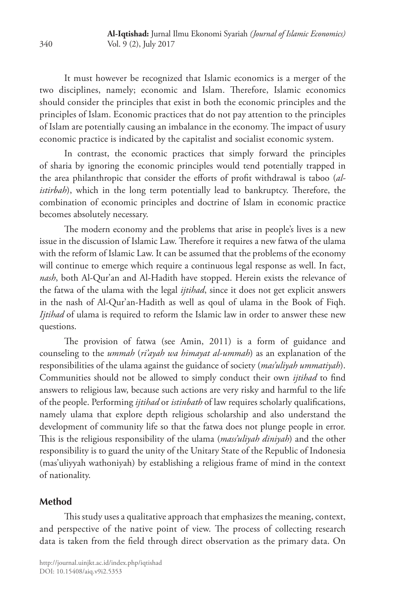It must however be recognized that Islamic economics is a merger of the two disciplines, namely; economic and Islam. Therefore, Islamic economics should consider the principles that exist in both the economic principles and the principles of Islam. Economic practices that do not pay attention to the principles of Islam are potentially causing an imbalance in the economy. The impact of usury economic practice is indicated by the capitalist and socialist economic system.

In contrast, the economic practices that simply forward the principles of sharia by ignoring the economic principles would tend potentially trapped in the area philanthropic that consider the efforts of profit withdrawal is taboo (*alistirbah*), which in the long term potentially lead to bankruptcy. Therefore, the combination of economic principles and doctrine of Islam in economic practice becomes absolutely necessary.

The modern economy and the problems that arise in people's lives is a new issue in the discussion of Islamic Law. Therefore it requires a new fatwa of the ulama with the reform of Islamic Law. It can be assumed that the problems of the economy will continue to emerge which require a continuous legal response as well. In fact, *nash*, both Al-Qur'an and Al-Hadith have stopped. Herein exists the relevance of the fatwa of the ulama with the legal *ijtihad*, since it does not get explicit answers in the nash of Al-Qur'an-Hadith as well as qoul of ulama in the Book of Fiqh. *Ijtihad* of ulama is required to reform the Islamic law in order to answer these new questions.

The provision of fatwa (see Amin, 2011) is a form of guidance and counseling to the *ummah* (*ri'ayah wa himayat al-ummah*) as an explanation of the responsibilities of the ulama against the guidance of society (*mas'uliyah ummatiyah*). Communities should not be allowed to simply conduct their own *ijtihad* to find answers to religious law, because such actions are very risky and harmful to the life of the people. Performing *ijtihad* or *istinbath* of law requires scholarly qualifications, namely ulama that explore depth religious scholarship and also understand the development of community life so that the fatwa does not plunge people in error. This is the religious responsibility of the ulama (*mass'uliyah diniyah*) and the other responsibility is to guard the unity of the Unitary State of the Republic of Indonesia (mas'uliyyah wathoniyah) by establishing a religious frame of mind in the context of nationality.

## **Method**

This study uses a qualitative approach that emphasizes the meaning, context, and perspective of the native point of view. The process of collecting research data is taken from the field through direct observation as the primary data. On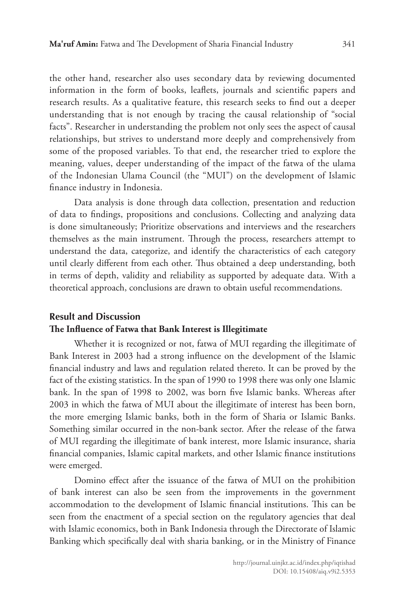the other hand, researcher also uses secondary data by reviewing documented information in the form of books, leaflets, journals and scientific papers and research results. As a qualitative feature, this research seeks to find out a deeper understanding that is not enough by tracing the causal relationship of "social facts". Researcher in understanding the problem not only sees the aspect of causal relationships, but strives to understand more deeply and comprehensively from some of the proposed variables. To that end, the researcher tried to explore the meaning, values, deeper understanding of the impact of the fatwa of the ulama of the Indonesian Ulama Council (the "MUI") on the development of Islamic finance industry in Indonesia.

Data analysis is done through data collection, presentation and reduction of data to findings, propositions and conclusions. Collecting and analyzing data is done simultaneously; Prioritize observations and interviews and the researchers themselves as the main instrument. Through the process, researchers attempt to understand the data, categorize, and identify the characteristics of each category until clearly different from each other. Thus obtained a deep understanding, both in terms of depth, validity and reliability as supported by adequate data. With a theoretical approach, conclusions are drawn to obtain useful recommendations.

# **Result and Discussion The Influence of Fatwa that Bank Interest is Illegitimate**

Whether it is recognized or not, fatwa of MUI regarding the illegitimate of Bank Interest in 2003 had a strong influence on the development of the Islamic financial industry and laws and regulation related thereto. It can be proved by the fact of the existing statistics. In the span of 1990 to 1998 there was only one Islamic bank. In the span of 1998 to 2002, was born five Islamic banks. Whereas after 2003 in which the fatwa of MUI about the illegitimate of interest has been born, the more emerging Islamic banks, both in the form of Sharia or Islamic Banks. Something similar occurred in the non-bank sector. After the release of the fatwa of MUI regarding the illegitimate of bank interest, more Islamic insurance, sharia financial companies, Islamic capital markets, and other Islamic finance institutions were emerged.

Domino effect after the issuance of the fatwa of MUI on the prohibition of bank interest can also be seen from the improvements in the government accommodation to the development of Islamic financial institutions. This can be seen from the enactment of a special section on the regulatory agencies that deal with Islamic economics, both in Bank Indonesia through the Directorate of Islamic Banking which specifically deal with sharia banking, or in the Ministry of Finance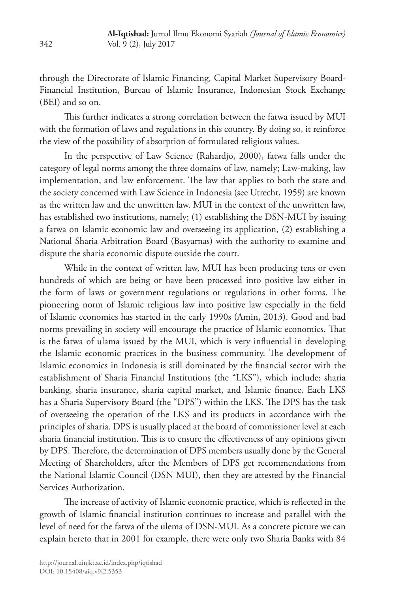through the Directorate of Islamic Financing, Capital Market Supervisory Board-Financial Institution, Bureau of Islamic Insurance, Indonesian Stock Exchange (BEI) and so on.

This further indicates a strong correlation between the fatwa issued by MUI with the formation of laws and regulations in this country. By doing so, it reinforce the view of the possibility of absorption of formulated religious values.

In the perspective of Law Science (Rahardjo, 2000), fatwa falls under the category of legal norms among the three domains of law, namely; Law-making, law implementation, and law enforcement. The law that applies to both the state and the society concerned with Law Science in Indonesia (see Utrecht, 1959) are known as the written law and the unwritten law. MUI in the context of the unwritten law, has established two institutions, namely; (1) establishing the DSN-MUI by issuing a fatwa on Islamic economic law and overseeing its application, (2) establishing a National Sharia Arbitration Board (Basyarnas) with the authority to examine and dispute the sharia economic dispute outside the court.

While in the context of written law, MUI has been producing tens or even hundreds of which are being or have been processed into positive law either in the form of laws or government regulations or regulations in other forms. The pioneering norm of Islamic religious law into positive law especially in the field of Islamic economics has started in the early 1990s (Amin, 2013). Good and bad norms prevailing in society will encourage the practice of Islamic economics. That is the fatwa of ulama issued by the MUI, which is very influential in developing the Islamic economic practices in the business community. The development of Islamic economics in Indonesia is still dominated by the financial sector with the establishment of Sharia Financial Institutions (the "LKS"), which include: sharia banking, sharia insurance, sharia capital market, and Islamic finance. Each LKS has a Sharia Supervisory Board (the "DPS") within the LKS. The DPS has the task of overseeing the operation of the LKS and its products in accordance with the principles of sharia. DPS is usually placed at the board of commissioner level at each sharia financial institution. This is to ensure the effectiveness of any opinions given by DPS. Therefore, the determination of DPS members usually done by the General Meeting of Shareholders, after the Members of DPS get recommendations from the National Islamic Council (DSN MUI), then they are attested by the Financial Services Authorization.

The increase of activity of Islamic economic practice, which is reflected in the growth of Islamic financial institution continues to increase and parallel with the level of need for the fatwa of the ulema of DSN-MUI. As a concrete picture we can explain hereto that in 2001 for example, there were only two Sharia Banks with 84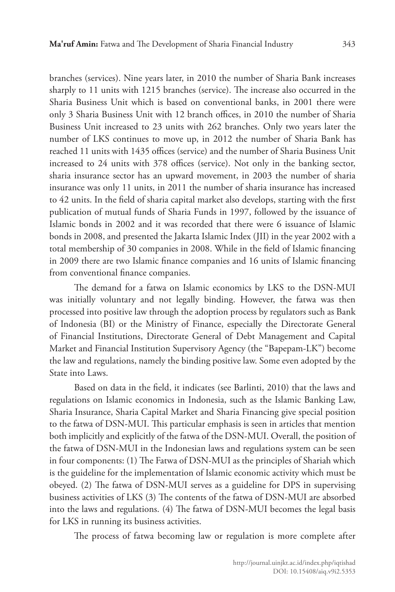branches (services). Nine years later, in 2010 the number of Sharia Bank increases sharply to 11 units with 1215 branches (service). The increase also occurred in the Sharia Business Unit which is based on conventional banks, in 2001 there were only 3 Sharia Business Unit with 12 branch offices, in 2010 the number of Sharia Business Unit increased to 23 units with 262 branches. Only two years later the number of LKS continues to move up, in 2012 the number of Sharia Bank has reached 11 units with 1435 offices (service) and the number of Sharia Business Unit increased to 24 units with 378 offices (service). Not only in the banking sector, sharia insurance sector has an upward movement, in 2003 the number of sharia insurance was only 11 units, in 2011 the number of sharia insurance has increased to 42 units. In the field of sharia capital market also develops, starting with the first publication of mutual funds of Sharia Funds in 1997, followed by the issuance of Islamic bonds in 2002 and it was recorded that there were 6 issuance of Islamic bonds in 2008, and presented the Jakarta Islamic Index (JII) in the year 2002 with a total membership of 30 companies in 2008. While in the field of Islamic financing in 2009 there are two Islamic finance companies and 16 units of Islamic financing from conventional finance companies.

The demand for a fatwa on Islamic economics by LKS to the DSN-MUI was initially voluntary and not legally binding. However, the fatwa was then processed into positive law through the adoption process by regulators such as Bank of Indonesia (BI) or the Ministry of Finance, especially the Directorate General of Financial Institutions, Directorate General of Debt Management and Capital Market and Financial Institution Supervisory Agency (the "Bapepam-LK") become the law and regulations, namely the binding positive law. Some even adopted by the State into Laws.

Based on data in the field, it indicates (see Barlinti, 2010) that the laws and regulations on Islamic economics in Indonesia, such as the Islamic Banking Law, Sharia Insurance, Sharia Capital Market and Sharia Financing give special position to the fatwa of DSN-MUI. This particular emphasis is seen in articles that mention both implicitly and explicitly of the fatwa of the DSN-MUI. Overall, the position of the fatwa of DSN-MUI in the Indonesian laws and regulations system can be seen in four components: (1) The Fatwa of DSN-MUI as the principles of Shariah which is the guideline for the implementation of Islamic economic activity which must be obeyed. (2) The fatwa of DSN-MUI serves as a guideline for DPS in supervising business activities of LKS (3) The contents of the fatwa of DSN-MUI are absorbed into the laws and regulations. (4) The fatwa of DSN-MUI becomes the legal basis for LKS in running its business activities.

The process of fatwa becoming law or regulation is more complete after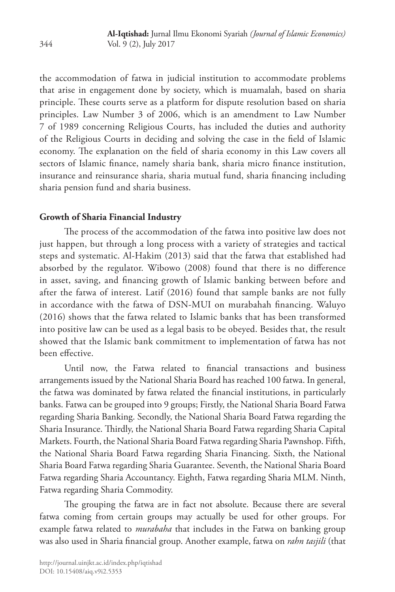the accommodation of fatwa in judicial institution to accommodate problems that arise in engagement done by society, which is muamalah, based on sharia principle. These courts serve as a platform for dispute resolution based on sharia principles. Law Number 3 of 2006, which is an amendment to Law Number 7 of 1989 concerning Religious Courts, has included the duties and authority of the Religious Courts in deciding and solving the case in the field of Islamic economy. The explanation on the field of sharia economy in this Law covers all sectors of Islamic finance, namely sharia bank, sharia micro finance institution, insurance and reinsurance sharia, sharia mutual fund, sharia financing including sharia pension fund and sharia business.

### **Growth of Sharia Financial Industry**

The process of the accommodation of the fatwa into positive law does not just happen, but through a long process with a variety of strategies and tactical steps and systematic. Al-Hakim (2013) said that the fatwa that established had absorbed by the regulator. Wibowo (2008) found that there is no difference in asset, saving, and financing growth of Islamic banking between before and after the fatwa of interest. Latif (2016) found that sample banks are not fully in accordance with the fatwa of DSN-MUI on murabahah financing. Waluyo (2016) shows that the fatwa related to Islamic banks that has been transformed into positive law can be used as a legal basis to be obeyed. Besides that, the result showed that the Islamic bank commitment to implementation of fatwa has not been effective.

Until now, the Fatwa related to financial transactions and business arrangements issued by the National Sharia Board has reached 100 fatwa. In general, the fatwa was dominated by fatwa related the financial institutions, in particularly banks. Fatwa can be grouped into 9 groups; Firstly, the National Sharia Board Fatwa regarding Sharia Banking. Secondly, the National Sharia Board Fatwa regarding the Sharia Insurance. Thirdly, the National Sharia Board Fatwa regarding Sharia Capital Markets. Fourth, the National Sharia Board Fatwa regarding Sharia Pawnshop. Fifth, the National Sharia Board Fatwa regarding Sharia Financing. Sixth, the National Sharia Board Fatwa regarding Sharia Guarantee. Seventh, the National Sharia Board Fatwa regarding Sharia Accountancy. Eighth, Fatwa regarding Sharia MLM. Ninth, Fatwa regarding Sharia Commodity.

The grouping the fatwa are in fact not absolute. Because there are several fatwa coming from certain groups may actually be used for other groups. For example fatwa related to *murabaha* that includes in the Fatwa on banking group was also used in Sharia financial group. Another example, fatwa on *rahn tasjili* (that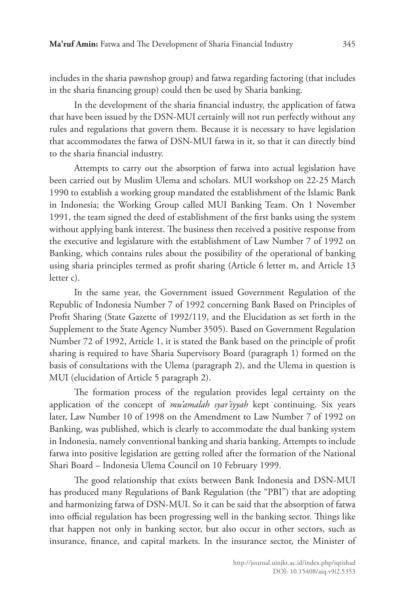includes in the sharia pawnshop group) and fatwa regarding factoring (that includes in the sharia financing group) could then be used by Sharia banking.

In the development of the sharia financial industry, the application of fatwa that have been issued by the DSN-MUI certainly will not run perfectly without any rules and regulations that govern them. Because it is necessary to have legislation that accommodates the fatwa of DSN-MUI fatwa in it, so that it can directly bind to the sharia financial industry.

Attempts to carry out the absorption of fatwa into actual legislation have been carried out by Muslim Ulema and scholars. MUI workshop on 22-25 March 1990 to establish a working group mandated the establishment of the Islamic Bank in Indonesia; the Working Group called MUI Banking Team. On 1 November 1991, the team signed the deed of establishment of the first banks using the system without applying bank interest. The business then received a positive response from the executive and legislature with the establishment of Law Number 7 of 1992 on Banking, which contains rules about the possibility of the operational of banking using sharia principles termed as profit sharing (Article 6 letter m, and Article 13 letter c).

In the same year, the Government issued Government Regulation of the Republic of Indonesia Number 7 of 1992 concerning Bank Based on Principles of Profit Sharing (State Gazette of 1992/119, and the Elucidation as set forth in the Supplement to the State Agency Number 3505). Based on Government Regulation Number 72 of 1992, Article 1, it is stated the Bank based on the principle of profit sharing is required to have Sharia Supervisory Board (paragraph 1) formed on the basis of consultations with the Ulema (paragraph 2), and the Ulema in question is MUI (elucidation of Article 5 paragraph 2).

The formation process of the regulation provides legal certainty on the application of the concept of *mu'amalah syar'iyyah* kept continuing. Six years later, Law Number 10 of 1998 on the Amendment to Law Number 7 of 1992 on Banking, was published, which is clearly to accommodate the dual banking system in Indonesia, namely conventional banking and sharia banking. Attempts to include fatwa into positive legislation are getting rolled after the formation of the National Shari Board – Indonesia Ulema Council on 10 February 1999.

The good relationship that exists between Bank Indonesia and DSN-MUI has produced many Regulations of Bank Regulation (the "PBI") that are adopting and harmonizing fatwa of DSN-MUI. So it can be said that the absorption of fatwa into official regulation has been progressing well in the banking sector. Things like that happen not only in banking sector, but also occur in other sectors, such as insurance, finance, and capital markets. In the insurance sector, the Minister of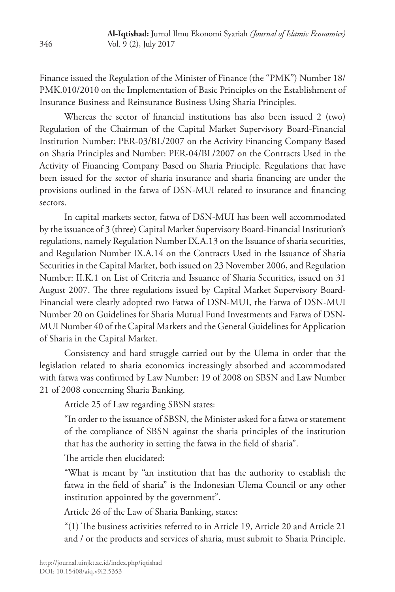Finance issued the Regulation of the Minister of Finance (the "PMK") Number 18/ PMK.010/2010 on the Implementation of Basic Principles on the Establishment of Insurance Business and Reinsurance Business Using Sharia Principles.

Whereas the sector of financial institutions has also been issued 2 (two) Regulation of the Chairman of the Capital Market Supervisory Board-Financial Institution Number: PER-03/BL/2007 on the Activity Financing Company Based on Sharia Principles and Number: PER-04/BL/2007 on the Contracts Used in the Activity of Financing Company Based on Sharia Principle. Regulations that have been issued for the sector of sharia insurance and sharia financing are under the provisions outlined in the fatwa of DSN-MUI related to insurance and financing sectors.

In capital markets sector, fatwa of DSN-MUI has been well accommodated by the issuance of 3 (three) Capital Market Supervisory Board-Financial Institution's regulations, namely Regulation Number IX.A.13 on the Issuance of sharia securities, and Regulation Number IX.A.14 on the Contracts Used in the Issuance of Sharia Securities in the Capital Market, both issued on 23 November 2006, and Regulation Number: II.K.1 on List of Criteria and Issuance of Sharia Securities, issued on 31 August 2007. The three regulations issued by Capital Market Supervisory Board-Financial were clearly adopted two Fatwa of DSN-MUI, the Fatwa of DSN-MUI Number 20 on Guidelines for Sharia Mutual Fund Investments and Fatwa of DSN-MUI Number 40 of the Capital Markets and the General Guidelines for Application of Sharia in the Capital Market.

Consistency and hard struggle carried out by the Ulema in order that the legislation related to sharia economics increasingly absorbed and accommodated with fatwa was confirmed by Law Number: 19 of 2008 on SBSN and Law Number 21 of 2008 concerning Sharia Banking.

Article 25 of Law regarding SBSN states:

"In order to the issuance of SBSN, the Minister asked for a fatwa or statement of the compliance of SBSN against the sharia principles of the institution that has the authority in setting the fatwa in the field of sharia".

The article then elucidated:

"What is meant by "an institution that has the authority to establish the fatwa in the field of sharia" is the Indonesian Ulema Council or any other institution appointed by the government".

Article 26 of the Law of Sharia Banking, states:

"(1) The business activities referred to in Article 19, Article 20 and Article 21 and / or the products and services of sharia, must submit to Sharia Principle.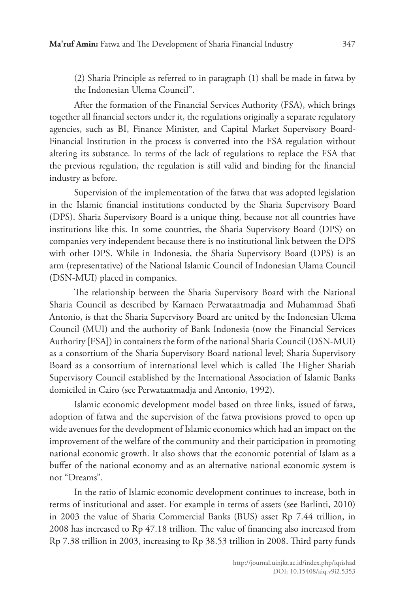(2) Sharia Principle as referred to in paragraph (1) shall be made in fatwa by the Indonesian Ulema Council".

After the formation of the Financial Services Authority (FSA), which brings together all financial sectors under it, the regulations originally a separate regulatory agencies, such as BI, Finance Minister, and Capital Market Supervisory Board-Financial Institution in the process is converted into the FSA regulation without altering its substance. In terms of the lack of regulations to replace the FSA that the previous regulation, the regulation is still valid and binding for the financial industry as before.

Supervision of the implementation of the fatwa that was adopted legislation in the Islamic financial institutions conducted by the Sharia Supervisory Board (DPS). Sharia Supervisory Board is a unique thing, because not all countries have institutions like this. In some countries, the Sharia Supervisory Board (DPS) on companies very independent because there is no institutional link between the DPS with other DPS. While in Indonesia, the Sharia Supervisory Board (DPS) is an arm (representative) of the National Islamic Council of Indonesian Ulama Council (DSN-MUI) placed in companies.

The relationship between the Sharia Supervisory Board with the National Sharia Council as described by Karnaen Perwataatmadja and Muhammad Shafi Antonio, is that the Sharia Supervisory Board are united by the Indonesian Ulema Council (MUI) and the authority of Bank Indonesia (now the Financial Services Authority [FSA]) in containers the form of the national Sharia Council (DSN-MUI) as a consortium of the Sharia Supervisory Board national level; Sharia Supervisory Board as a consortium of international level which is called The Higher Shariah Supervisory Council established by the International Association of Islamic Banks domiciled in Cairo (see Perwataatmadja and Antonio, 1992).

Islamic economic development model based on three links, issued of fatwa, adoption of fatwa and the supervision of the fatwa provisions proved to open up wide avenues for the development of Islamic economics which had an impact on the improvement of the welfare of the community and their participation in promoting national economic growth. It also shows that the economic potential of Islam as a buffer of the national economy and as an alternative national economic system is not "Dreams".

In the ratio of Islamic economic development continues to increase, both in terms of institutional and asset. For example in terms of assets (see Barlinti, 2010) in 2003 the value of Sharia Commercial Banks (BUS) asset Rp 7.44 trillion, in 2008 has increased to Rp 47.18 trillion. The value of financing also increased from Rp 7.38 trillion in 2003, increasing to Rp 38.53 trillion in 2008. Third party funds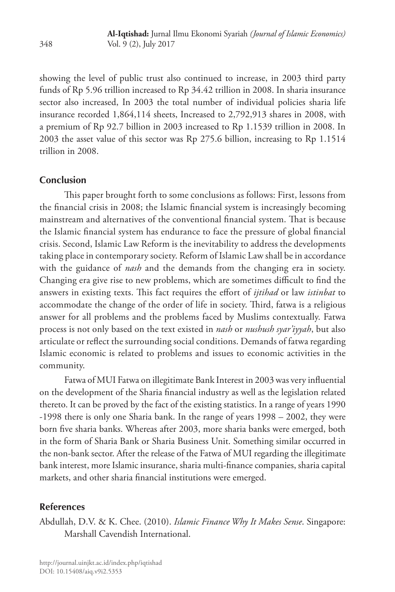showing the level of public trust also continued to increase, in 2003 third party funds of Rp 5.96 trillion increased to Rp 34.42 trillion in 2008. In sharia insurance sector also increased, In 2003 the total number of individual policies sharia life insurance recorded 1,864,114 sheets, Increased to 2,792,913 shares in 2008, with a premium of Rp 92.7 billion in 2003 increased to Rp 1.1539 trillion in 2008. In 2003 the asset value of this sector was Rp 275.6 billion, increasing to Rp 1.1514 trillion in 2008.

## **Conclusion**

This paper brought forth to some conclusions as follows: First, lessons from the financial crisis in 2008; the Islamic financial system is increasingly becoming mainstream and alternatives of the conventional financial system. That is because the Islamic financial system has endurance to face the pressure of global financial crisis. Second, Islamic Law Reform is the inevitability to address the developments taking place in contemporary society. Reform of Islamic Law shall be in accordance with the guidance of *nash* and the demands from the changing era in society. Changing era give rise to new problems, which are sometimes difficult to find the answers in existing texts. This fact requires the effort of *ijtihad* or law *istinbat* to accommodate the change of the order of life in society. Third, fatwa is a religious answer for all problems and the problems faced by Muslims contextually. Fatwa process is not only based on the text existed in *nash* or *nushush syar'iyyah*, but also articulate or reflect the surrounding social conditions. Demands of fatwa regarding Islamic economic is related to problems and issues to economic activities in the community.

Fatwa of MUI Fatwa on illegitimate Bank Interest in 2003 was very influential on the development of the Sharia financial industry as well as the legislation related thereto. It can be proved by the fact of the existing statistics. In a range of years 1990 -1998 there is only one Sharia bank. In the range of years 1998 – 2002, they were born five sharia banks. Whereas after 2003, more sharia banks were emerged, both in the form of Sharia Bank or Sharia Business Unit. Something similar occurred in the non-bank sector. After the release of the Fatwa of MUI regarding the illegitimate bank interest, more Islamic insurance, sharia multi-finance companies, sharia capital markets, and other sharia financial institutions were emerged.

## **References**

Abdullah, D.V. & K. Chee. (2010). *Islamic Finance Why It Makes Sense*. Singapore: Marshall Cavendish International.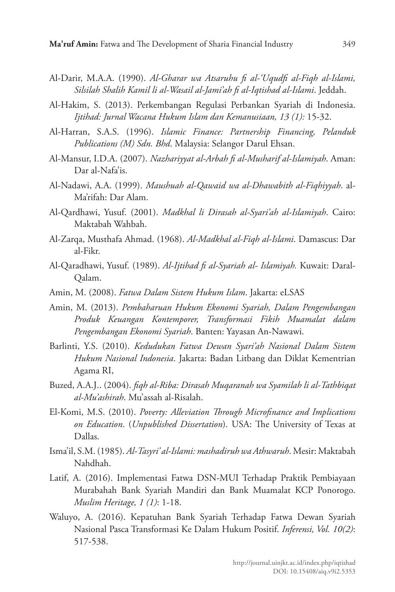- Al-Darir, M.A.A. (1990). *Al-Gharar wa Atsaruhu fi al-'Uqudfi al-Fiqh al-Islami, Silsilah Shalih Kamil li al-Wasail al-Jami'ah fi al-Iqtishad al-Islami*. Jeddah.
- Al-Hakim, S. (2013). Perkembangan Regulasi Perbankan Syariah di Indonesia. *Ijtihad: Jurnal Wacana Hukum Islam dan Kemanusiaan, 13 (1):* 15-32.
- Al-Harran, S.A.S. (1996). *Islamic Finance: Partnership Financing, Pelanduk Publications (M) Sdn. Bhd*. Malaysia: Selangor Darul Ehsan.
- Al-Mansur, I.D.A. (2007). *Nazhariyyat al-Arbah fi al-Musharif al-Islamiyah*. Aman: Dar al-Nafa'is.
- Al-Nadawi, A.A. (1999). *Maushuah al-Qawaid wa al-Dhawabith al-Fiqhiyyah*. al-Ma'rifah: Dar Alam.
- Al-Qardhawi, Yusuf. (2001). *Madkhal li Dirasah al-Syari'ah al-Islamiyah*. Cairo: Maktabah Wahbah.
- Al-Zarqa, Musthafa Ahmad. (1968). *Al-Madkhal al-Fiqh al-Islami*. Damascus: Dar al-Fikr.
- Al-Qaradhawi, Yusuf. (1989). *Al-Ijtihad fi al-Syariah al- Islamiyah.* Kuwait: Daral-Qalam.
- Amin, M. (2008). *Fatwa Dalam Sistem Hukum Islam*. Jakarta: eLSAS
- Amin, M. (2013). *Pembaharuan Hukum Ekonomi Syariah, Dalam Pengembangan Produk Keuangan Kontemporer, Transformasi Fikih Muamalat dalam Pengembangan Ekonomi Syariah*. Banten: Yayasan An-Nawawi.
- Barlinti, Y.S. (2010). *Kedudukan Fatwa Dewan Syari'ah Nasional Dalam Sistem Hukum Nasional Indonesia*. Jakarta: Badan Litbang dan Diklat Kementrian Agama RI,
- Buzed, A.A.J.. (2004). *fiqh al-Riba: Dirasah Muqaranah wa Syamilah li al-Tathbiqat al-Mu'ashirah*. Mu'assah al-Risalah.
- El-Komi, M.S. (2010). *Poverty: Alleviation Through Microfinance and Implications on Education*. (*Unpublished Dissertation*). USA: The University of Texas at Dallas.
- Isma'il, S.M. (1985). *Al-Tasyri' al-Islami: mashadiruh wa Athwaruh*. Mesir: Maktabah Nahdhah.
- Latif, A. (2016). Implementasi Fatwa DSN-MUI Terhadap Praktik Pembiayaan Murabahah Bank Syariah Mandiri dan Bank Muamalat KCP Ponorogo. *Muslim Heritage, 1 (1)*: 1-18.
- Waluyo, A. (2016). Kepatuhan Bank Syariah Terhadap Fatwa Dewan Syariah Nasional Pasca Transformasi Ke Dalam Hukum Positif. *Inferensi, Vol. 10(2)*: 517-538.